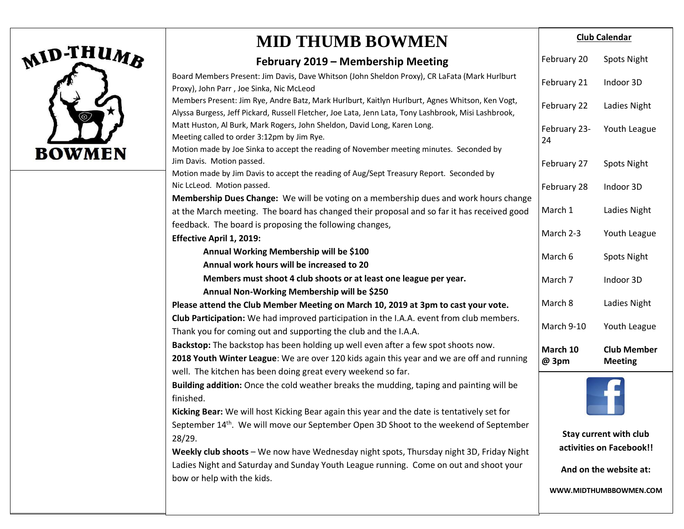

# **MID THUMB BOWMEN**

#### **February 2019 – Membership Meeting**

| February 2019 – Membership Meeting                                                                                                                                                                      | February 20        | <b>Spots Night</b>                   |
|---------------------------------------------------------------------------------------------------------------------------------------------------------------------------------------------------------|--------------------|--------------------------------------|
| Board Members Present: Jim Davis, Dave Whitson (John Sheldon Proxy), CR LaFata (Mark Hurlburt<br>Proxy), John Parr, Joe Sinka, Nic McLeod                                                               | February 21        | Indoor 3D                            |
| Members Present: Jim Rye, Andre Batz, Mark Hurlburt, Kaitlyn Hurlburt, Agnes Whitson, Ken Vogt,<br>Alyssa Burgess, Jeff Pickard, Russell Fletcher, Joe Lata, Jenn Lata, Tony Lashbrook, Misi Lashbrook, | February 22        | Ladies Night                         |
| Matt Huston, Al Burk, Mark Rogers, John Sheldon, David Long, Karen Long.<br>Meeting called to order 3:12pm by Jim Rye.                                                                                  | February 23-<br>24 | Youth League                         |
| Motion made by Joe Sinka to accept the reading of November meeting minutes. Seconded by<br>Jim Davis. Motion passed.                                                                                    |                    |                                      |
| Motion made by Jim Davis to accept the reading of Aug/Sept Treasury Report. Seconded by                                                                                                                 | February 27        | <b>Spots Night</b>                   |
| Nic LcLeod. Motion passed.<br>Membership Dues Change: We will be voting on a membership dues and work hours change                                                                                      | February 28        | Indoor 3D                            |
| at the March meeting. The board has changed their proposal and so far it has received good                                                                                                              | March 1            | Ladies Night                         |
| feedback. The board is proposing the following changes,<br><b>Effective April 1, 2019:</b>                                                                                                              | March 2-3          | Youth League                         |
| Annual Working Membership will be \$100                                                                                                                                                                 | March 6            | <b>Spots Night</b>                   |
| Annual work hours will be increased to 20                                                                                                                                                               |                    |                                      |
| Members must shoot 4 club shoots or at least one league per year.                                                                                                                                       | March 7            | Indoor 3D                            |
| Annual Non-Working Membership will be \$250                                                                                                                                                             |                    |                                      |
| Please attend the Club Member Meeting on March 10, 2019 at 3pm to cast your vote.                                                                                                                       | March 8            | Ladies Night                         |
| Club Participation: We had improved participation in the I.A.A. event from club members.<br>Thank you for coming out and supporting the club and the I.A.A.                                             | March 9-10         | Youth League                         |
| Backstop: The backstop has been holding up well even after a few spot shoots now.<br>2018 Youth Winter League: We are over 120 kids again this year and we are off and running                          | March 10<br>@ 3pm  | <b>Club Member</b><br><b>Meeting</b> |
| well. The kitchen has been doing great every weekend so far.                                                                                                                                            |                    |                                      |
| Building addition: Once the cold weather breaks the mudding, taping and painting will be<br>finished.                                                                                                   |                    |                                      |
| Kicking Bear: We will host Kicking Bear again this year and the date is tentatively set for                                                                                                             |                    |                                      |
| September 14 <sup>th</sup> . We will move our September Open 3D Shoot to the weekend of September                                                                                                       |                    |                                      |
| 28/29.                                                                                                                                                                                                  |                    | <b>Stay current with club</b>        |
| Weekly club shoots - We now have Wednesday night spots, Thursday night 3D, Friday Night                                                                                                                 |                    | activities on Facebook!!             |
| Ladies Night and Saturday and Sunday Youth League running. Come on out and shoot your<br>bow or help with the kids.                                                                                     |                    | And on the website at:               |

**Club Calendar**

**WWW.MIDTHUMBBOWMEN.COM**